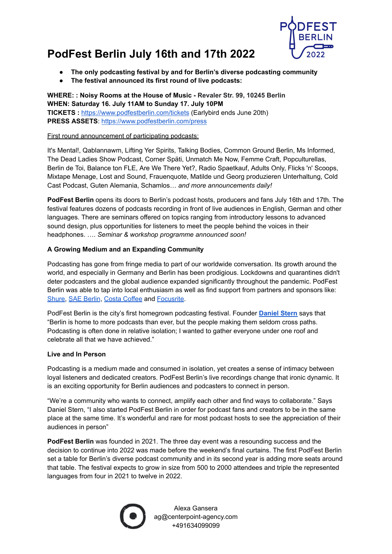

## **PodFest Berlin July 16th and 17th 2022**

- **● The only podcasting festival by and for Berlin's diverse podcasting community**
- **● The festival announced its first round of live podcasts:**

**WHERE: : Noisy Rooms at the House of Music - Revaler Str. 99, 10245 Berlin WHEN: Saturday 16. July 11AM to Sunday 17. July 10PM TICKETS :** <https://www.podfestberlin.com/tickets> (Earlybird ends June 20th) **PRESS ASSETS**: <https://www.podfestberlin.com/press>

## First round announcement of participating podcasts:

It's Mental!, Qablannawm, Lifting Yer Spirits, Talking Bodies, Common Ground Berlin, Ms Informed, The Dead Ladies Show Podcast, Corner Späti, Unmatch Me Now, Femme Craft, Popculturellas, Berlin de Toi, Balance ton FLE, Are We There Yet?, Radio Spaetkauf, Adults Only, Flicks 'n' Scoops, Mixtape Menage, Lost and Sound, Frauenquote, Matilde und Georg produzieren Unterhaltung, Cold Cast Podcast, Guten Alemania, Schamlos… *and more announcements daily!*

**PodFest Berlin** opens its doors to Berlin's podcast hosts, producers and fans July 16th and 17th. The festival features dozens of podcasts recording in front of live audiences in English, German and other languages. There are seminars offered on topics ranging from introductory lessons to advanced sound design, plus opportunities for listeners to meet the people behind the voices in their headphones. …. *Seminar & workshop programme announced soon!*

## **A Growing Medium and an Expanding Community**

Podcasting has gone from fringe media to part of our worldwide conversation. Its growth around the world, and especially in Germany and Berlin has been prodigious. Lockdowns and quarantines didn't deter podcasters and the global audience expanded significantly throughout the pandemic. PodFest Berlin was able to tap into local enthusiasm as well as find support from partners and sponsors like: [Shure,](https://www.shure.com/de-DE) SAE [Berlin](https://www.sae.edu/deu), Costa [Coffee](https://www.costacoffee.de/) and [Focusrite.](https://focusrite.com/de)

PodFest Berlin is the city's first homegrown podcasting festival. Founder **[Daniel](https://www.sterndaniel.com/) Stern** says that "Berlin is home to more podcasts than ever, but the people making them seldom cross paths. Podcasting is often done in relative isolation; I wanted to gather everyone under one roof and celebrate all that we have achieved."

## **Live and In Person**

Podcasting is a medium made and consumed in isolation, yet creates a sense of intimacy between loyal listeners and dedicated creators. PodFest Berlin's live recordings change that ironic dynamic. It is an exciting opportunity for Berlin audiences and podcasters to connect in person.

"We're a community who wants to connect, amplify each other and find ways to collaborate." Says Daniel Stern, "I also started PodFest Berlin in order for podcast fans and creators to be in the same place at the same time. It's wonderful and rare for most podcast hosts to see the appreciation of their audiences in person"

**PodFest Berlin** was founded in 2021. The three day event was a resounding success and the decision to continue into 2022 was made before the weekend's final curtains. The first PodFest Berlin set a table for Berlin's diverse podcast community and in its second year is adding more seats around that table. The festival expects to grow in size from 500 to 2000 attendees and triple the represented languages from four in 2021 to twelve in 2022.



Alexa Gansera ag@centerpoint-agency.com +491634099099